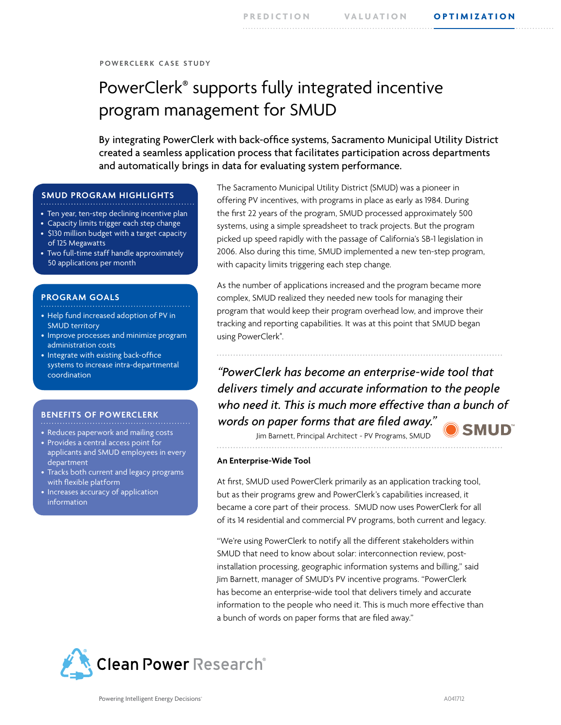## **p o w e r c l e r k c a s e s t u dy**

# PowerClerk® supports fully integrated incentive program management for SMUD

By integrating PowerClerk with back-office systems, Sacramento Municipal Utility District created a seamless application process that facilitates participation across departments and automatically brings in data for evaluating system performance.

## **SMUD PROGRAM HIGHLIGHTS**

- Ten year, ten-step declining incentive plan
- Capacity limits trigger each step change
- \$130 million budget with a target capacity
- of 125 Megawatts • Two full-time staff handle approximately 50 applications per month

## **PROGRAM GOALS**

- Help fund increased adoption of PV in SMUD territory
- Improve processes and minimize program administration costs
- Integrate with existing back-office systems to increase intra-departmental coordination

## **BENEFITS OF POWERCLERK**

- Reduces paperwork and mailing costs
- Provides a central access point for
- applicants and SMUD employees in every department
- Tracks both current and legacy programs with flexible platform
- Increases accuracy of application information

The Sacramento Municipal Utility District (SMUD) was a pioneer in offering PV incentives, with programs in place as early as 1984. During the first 22 years of the program, SMUD processed approximately 500 systems, using a simple spreadsheet to track projects. But the program picked up speed rapidly with the passage of California's SB-1 legislation in 2006. Also during this time, SMUD implemented a new ten-step program, with capacity limits triggering each step change.

As the number of applications increased and the program became more complex, SMUD realized they needed new tools for managing their program that would keep their program overhead low, and improve their tracking and reporting capabilities. It was at this point that SMUD began using PowerClerk®. .

*"PowerClerk has become an enterprise-wide tool that delivers timely and accurate information to the people who need it. This is much more effective than a bunch of words on paper forms that are filed away."*

Jim Barnett, Principal Architect - PV Programs, SMUD

**An Enterprise-Wide Tool**

At first, SMUD used PowerClerk primarily as an application tracking tool, but as their programs grew and PowerClerk's capabilities increased, it became a core part of their process. SMUD now uses PowerClerk for all of its 14 residential and commercial PV programs, both current and legacy.

"We're using PowerClerk to notify all the different stakeholders within SMUD that need to know about solar: interconnection review, postinstallation processing, geographic information systems and billing," said Jim Barnett, manager of SMUD's PV incentive programs. "PowerClerk has become an enterprise-wide tool that delivers timely and accurate information to the people who need it. This is much more effective than a bunch of words on paper forms that are filed away."